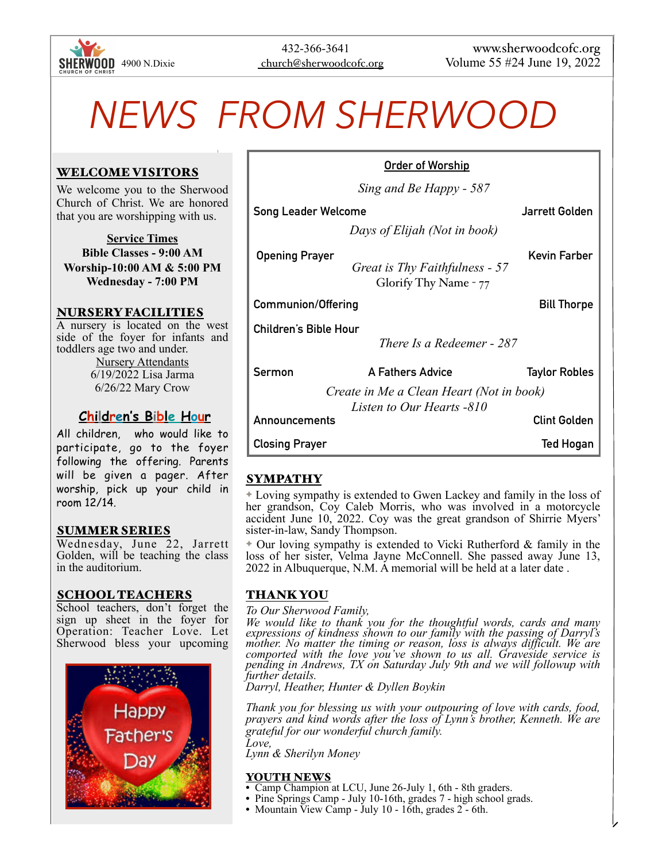

# *NEWS FROM SHERWOOD*

#### WELCOME VISITORS

We welcome you to the Sherwood Church of Christ. We are honored that you are worshipping with us.

**Service Times Bible Classes - 9:00 AM Worship-10:00 AM & 5:00 PM Wednesday - 7:00 PM**

#### NURSERY FACILITIES

A nursery is located on the west side of the foyer for infants and toddlers age two and under. Nursery Attendants

6/19/2022 Lisa Jarma 6/26/22 Mary Crow

# **Children's Bible Hour**

All children, who would like to participate, go to the foyer following the offering. Parents will be given a pager. After worship, pick up your child in room 12/14.

#### SUMMER SERIES

Wednesday, June 22, Jarrett Golden, will be teaching the class in the auditorium.

#### SCHOOL TEACHERS

School teachers, don't forget the sign up sheet in the foyer for Operation: Teacher Love. Let Sherwood bless your upcoming



# **Order of Worship**

*Sing and Be Happy - 587*

| <b>Song Leader Welcome</b>                         |                                                         | Jarrett Golden       |  |
|----------------------------------------------------|---------------------------------------------------------|----------------------|--|
|                                                    | Days of Elijah (Not in book)                            |                      |  |
| <b>Opening Prayer</b>                              | Great is Thy Faithfulness - 57<br>Glorify Thy Name - 77 | Kevin Farber         |  |
| <b>Communion/Offering</b>                          |                                                         | <b>Bill Thorpe</b>   |  |
| Children's Bible Hour<br>There Is a Redeemer - 287 |                                                         |                      |  |
| Sermon                                             | A Fathers Advice                                        | <b>Taylor Robles</b> |  |
| Create in Me a Clean Heart (Not in book)           |                                                         |                      |  |
|                                                    | Listen to Our Hearts -810                               |                      |  |
| Announcements                                      |                                                         | <b>Clint Golden</b>  |  |
| <b>Closing Prayer</b>                              |                                                         | <b>Ted Hogan</b>     |  |

# SYMPATHY

✦ Loving sympathy is extended to Gwen Lackey and family in the loss of her grandson, Coy Caleb Morris, who was involved in a motorcycle accident June 10, 2022. Coy was the great grandson of Shirrie Myers' sister-in-law, Sandy Thompson.

 $\rightarrow$  Our loving sympathy is extended to Vicki Rutherford & family in the loss of her sister, Velma Jayne McConnell. She passed away June 13, 2022 in Albuquerque, N.M. A memorial will be held at a later date .

# THANK YOU

#### *To Our Sherwood Family,*

*We would like to thank you for the thoughtful words, cards and many expressions of kindness shown to our family with the passing of Darryl's mother. No matter the timing or reason, loss is always difficult. We are comported with the love you've shown to us all. Graveside service is pending in Andrews, TX on Saturday July 9th and we will followup with further details.*

*Darryl, Heather, Hunter & Dyllen Boykin*

*Thank you for blessing us with your outpouring of love with cards, food, prayers and kind words after the loss of Lynn's brother, Kenneth. We are grateful for our wonderful church family. Love,*

*Lynn & Sherilyn Money*

#### YOUTH NEWS

- **•** Camp Champion at LCU, June 26-July 1, 6th 8th graders.
- **•** Pine Springs Camp July 10-16th, grades 7 high school grads.
- **•** Mountain View Camp July 10 16th, grades 2 6th.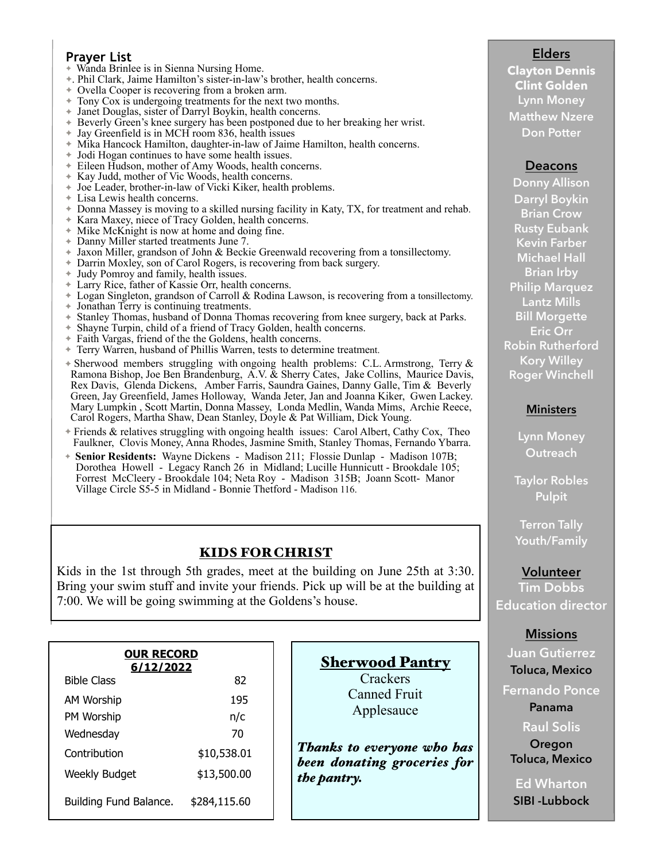# **Prayer List**

- Wanda Brinlee is in Sienna Nursing Home.
- ✦. Phil Clark, Jaime Hamilton's sister-in-law's brother, health concerns.
- Ovella Cooper is recovering from a broken arm.
- ✦ Tony Cox is undergoing treatments for the next two months.
- ✦ Janet Douglas, sister of Darryl Boykin, health concerns.
- ✦ Beverly Green's knee surgery has been postponed due to her breaking her wrist.
- Jay Greenfield is in MCH room 836, health issues
- Mika Hancock Hamilton, daughter-in-law of Jaime Hamilton, health concerns.
- ✦ Jodi Hogan continues to have some health issues.
- ✦ Eileen Hudson, mother of Amy Woods, health concerns.
- ✦ Kay Judd, mother of Vic Woods, health concerns.
- ✦ Joe Leader, brother-in-law of Vicki Kiker, health problems.
- ✦ Lisa Lewis health concerns.
- ✦ Donna Massey is moving to a skilled nursing facility in Katy, TX, for treatment and rehab.
- ✦ Kara Maxey, niece of Tracy Golden, health concerns.
- ✦ Mike McKnight is now at home and doing fine.
- ✦ Danny Miller started treatments June 7.
- Jaxon Miller, grandson of John & Beckie Greenwald recovering from a tonsillectomy.
- Darrin Moxley, son of Carol Rogers, is recovering from back surgery.
- ✦ Judy Pomroy and family, health issues.
- ✦ Larry Rice, father of Kassie Orr, health concerns.
- ✦ Logan Singleton, grandson of Carroll & Rodina Lawson, is recovering from a tonsillectomy.
- ✦ Jonathan Terry is continuing treatments.
- ✦ Stanley Thomas, husband of Donna Thomas recovering from knee surgery, back at Parks.
- Shayne Turpin, child of a friend of Tracy Golden, health concerns.
- Faith Vargas, friend of the the Goldens, health concerns.
- ✦ Terry Warren, husband of Phillis Warren, tests to determine treatment.
- ✦ Sherwood members struggling with ongoing health problems: C.L. Armstrong, Terry & Ramona Bishop, Joe Ben Brandenburg, A.V. & Sherry Cates, Jake Collins, Maurice Davis, Rex Davis, Glenda Dickens, Amber Farris, Saundra Gaines, Danny Galle, Tim & Beverly Green, Jay Greenfield, James Holloway, Wanda Jeter, Jan and Joanna Kiker, Gwen Lackey. Mary Lumpkin , Scott Martin, Donna Massey, Londa Medlin, Wanda Mims, Archie Reece, Carol Rogers, Martha Shaw, Dean Stanley, Doyle & Pat William, Dick Young.
- ✦ Friends & relatives struggling with ongoing health issues: Carol Albert, Cathy Cox, Theo Faulkner, Clovis Money, Anna Rhodes, Jasmine Smith, Stanley Thomas, Fernando Ybarra.
- ✦ **Senior Residents:** Wayne Dickens Madison 211; Flossie Dunlap Madison 107B; Dorothea Howell - Legacy Ranch 26 in Midland; Lucille Hunnicutt - Brookdale 105; Forrest McCleery - Brookdale 104; Neta Roy - Madison 315B; Joann Scott- Manor Village Circle S5-5 in Midland - Bonnie Thetford - Madison 116.

# KIDS FOR CHRIST

Kids in the 1st through 5th grades, meet at the building on June 25th at 3:30. Bring your swim stuff and invite your friends. Pick up will be at the building at 7:00. We will be going swimming at the Goldens's house.

| <b>OUR RECORD</b><br>6/12/2022 |              |  |  |
|--------------------------------|--------------|--|--|
| <b>Bible Class</b>             | 82           |  |  |
| AM Worship                     | 195          |  |  |
| PM Worship                     | n/c          |  |  |
| Wednesday                      | 70           |  |  |
| Contribution                   | \$10,538.01  |  |  |
| Weekly Budget                  | \$13,500.00  |  |  |
| Building Fund Balance.         | \$284,115.60 |  |  |

# Sherwood Pantry

Crackers Canned Fruit Applesauce

*Thanks to everyone who has been donating groceries for the pantry.*

# **Elders**

**Clayton Dennis Clint Golden Lynn Money Matthew Nzere Don Potter**

# **Deacons**

**Donny Allison Darryl Boykin Brian Crow Rusty Eubank Kevin Farber Michael Hall Brian Irby Philip Marquez Lantz Mills Bill Morgette Eric Orr Robin Rutherford Kory Willey Roger Winchell**

# **Ministers**

**Lynn Money Outreach**

**Taylor Robles Pulpit**

**Terron Tally Youth/Family**

# **Volunteer**

**Tim Dobbs Education director**

# **Missions**

**Juan Gutierrez Toluca, Mexico**

**Fernando Ponce**

**Panama**

**Raul Solis**

**Oregon Toluca, Mexico**

**Ed Wharton SIBI -Lubbock**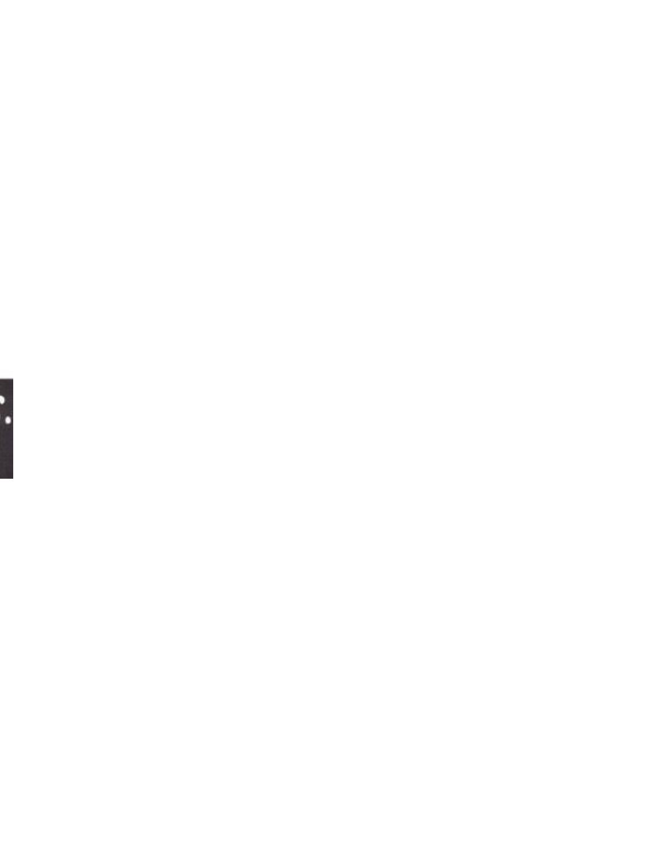